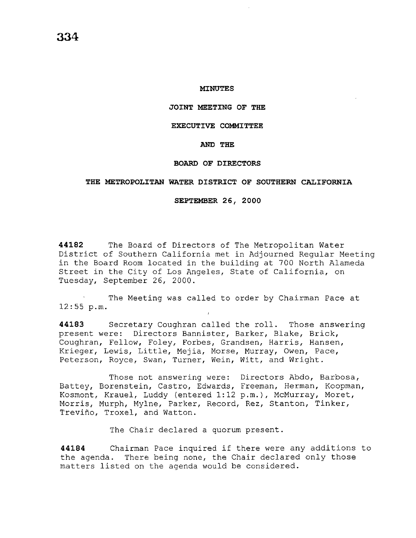## **MINUTES**

#### **JOINT MEETING OF THE**

#### **EXECUTIVE COMMITTEE**

# **AND THE**

## **BOARD OF DIRECTORS**

# **THE METROPOLITAN WATER DISTRICT OF SOUTHERN CALIFORNIA**

## **SEPTEMBER 26, 2000**

**44182** The Board of Directors of The Metropolitan Water District of Southern California met in Adjourned Regular Meeting in the Board Room located in the building at 700 North Alameda Street in the City of Los Angeles, State of California, on Tuesday, September 26, 2000.

The Meeting was called to order by Chairman Pace at 12:55 p.m.

**44183** Secretary Coughran called the roll. Those answering present were: Directors Bannister, Barker, Blake, Brick, Coughran, Fellow, Foley, Forbes, Grandsen, Harris, Hansen, Krieger, Lewis, Little, Mejia, Morse, Murray, Owen, Pace, Peterson, Royce, Swan, Turner, Wein, Witt, and Wright.

Those not answering were: Directors Abdo, Barbosa, Battey, Borenstein, Castro, Edwards, Freeman, Herman, Koopman, Kosmont, Krauel, Luddy (entered 1:12 p.m.), McMurray, Moret, Morris, Murph, Mylne, Parker, Record, Rez, Stanton, Tinker, Trevino, Troxel, and Watton.

The Chair declared a quorum present.

**<sup>44184</sup>**Chairman Pace inquired if there were any additions to the agenda. There being none, the Chair declared only those matters listed on the agenda would be considered.

**334**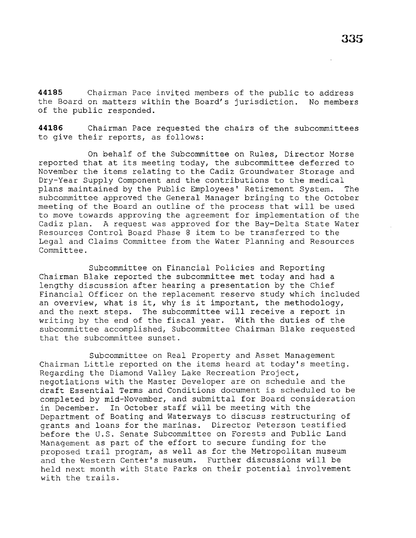**44185** Chairman Pace invited members of the public to address the Board on matters within the Board's jurisdiction. No members of the public responded.

**44186** Chairman Pace requested the chairs of the subcommittees to give their reports, as follows:

On behalf of the Subcommittee on Rules, Director Morse reported that at its meeting today, the subcommittee deferred to November the items relating to the Cadiz Groundwater Storage and Dry-Year Supply Component and the contributions to the medical plans maintained by the Public Employees' Retirement System. The subcommittee approved the General Manager bringing to the October meeting of the Board an outline of the process that will be used to move towards approving the agreement for implementation of the<br>Cadiz plan. A request was approved for the Bay-Delta State Water A request was approved for the Bay-Delta State Water Resources Control Board Phase 8 item to be transferred to the Legal and Claims Committee from the Water Planning and Resources Committee.

Subcommittee on Financial Policies and Reporting Chairman Blake reported the subcommittee met today and had a lengthy discussion after hearing a presentation by the Chief Financial Officer on the replacement reserve study which included an overview, what is it, why is it important, the methodology, and the next steps. The subcommittee will receive a report in writing by the end of the fiscal year. With the duties of the subcommittee accomplished, Subcommittee Chairman Blake requested that the subcommittee sunset.

Subcommittee on Real Property and Asset Management Chairman Little reported on the items heard at today's meeting. Regarding the Diamond Valley Lake Recreation Project, negotiations with the Master Developer are on schedule and the draft Essential Terms and Conditions document is scheduled to be completed by mid-November, and submittal for Board consideration in December. In October staff will be meeting with the Department of Boating and Waterways to discuss restructuring of grants and loans for the marinas. Director Peterson testified before the U.S. Senate Subcommittee on Forests and Public Land Management as part of the effort to secure funding for the proposed trail program, as well as for the Metropolitan museum and the Western Center's museum. Further discussions will be held next month with State Parks on their potential involvement with the trails.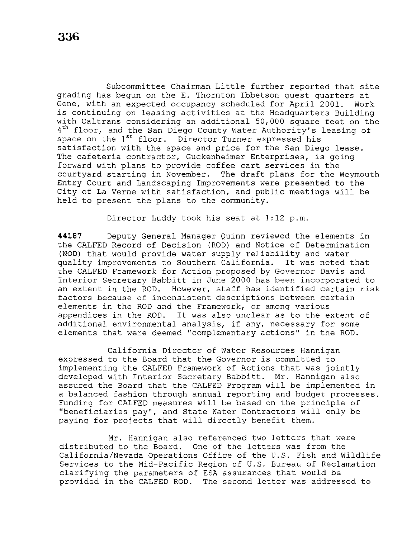Subcommittee Chairman Little further reported that site grading has begun on the E. Thornton Ibbetson guest quarters at Gene, with an expected occupancy scheduled for April 2001. Work is continuing on leasing activities at the Headquarters Building with Caltrans considering an additional 50,000 square feet on the 4<sup>th</sup> floor, and the San Diego County Water Authority's leasing of space on the 1<sup>st</sup> floor. Director Turner expressed his satisfaction with the space and price for the San Diego lease. The cafeteria contractor, Guckenheimer Enterprises, is going forward with plans to provide coffee cart services in the courtyard starting in November. The draft plans for the Weymouth Entry Court and Landscaping Improvements were presented to the City of La Verne with satisfaction, and public meetings will be held to present the plans to the community.

Director Luddy took his seat at 1:12 p.m.

**44187** Deputy General Manager Quinn reviewed the elements in the CALFED Record of Decision (ROD) and Notice of Determination (NOD) that would provide water supply reliability and water<br>quality improvements to Southern California. It was noted that quality improvements to Southern California. the CALFED Framework for Action proposed by Governor Davis and Interior Secretary Babbitt in June 2000 has been incorporated to an extent in the ROD. However, staff has identified certain risk factors because of inconsistent descriptions between certain elements in the ROD and the Framework, or among various appendices in the ROD. It was also unclear as to the extent of additional environmental analysis, if any, necessary for some elements that were deemed "complementary actions" in the ROD.

California Director of Water Resources Hannigan expressed to the Board that the Governor is committed to implementing the CALFED Framework of Actions that was jointly developed with Interior Secretary Babbitt. Mr. Hannigan also assured the Board that the CALFED Program will be implemented in a balanced fashion through annual reporting and budget processes. Funding for CALFED measures will be based on the principle of ''beneficiaries pay'', and State Water Contractors will only be paying for projects that will directly benefit them.

Mr. Hannigan also referenced two letters that were<br>distributed to the Board. One of the letters was from the One of the letters was from the California/Nevada Operations Office of the U.S. Fish and Wildlife Services to the Mid-Pacific Region of U.S. Bureau of Reclamation clarifying the parameters of ESA assurances that would be provided in the CALFED ROD. The second letter was addressed to